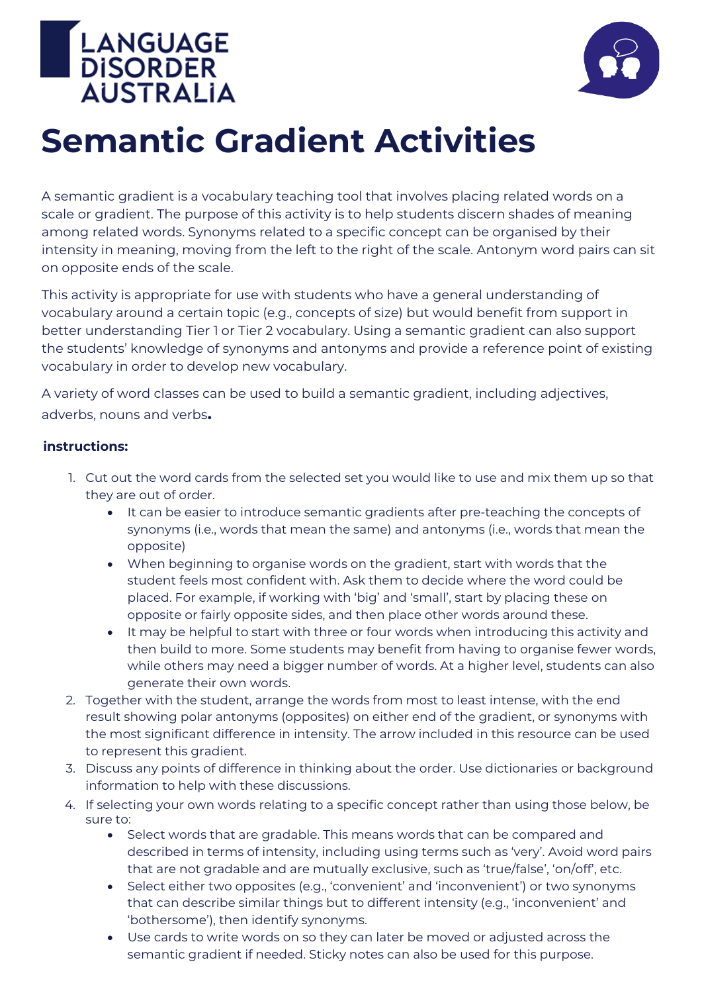



## **Semantic Gradient Activities**

A semantic gradient is a vocabulary teaching tool that involves placing related words on a scale or gradient. The purpose of this activity is to help students discern shades of meaning among related words. Synonyms related to a specific concept can be organised by their intensity in meaning, moving from the left to the right of the scale. Antonym word pairs can sit on opposite ends of the scale.

This activity is appropriate for use with students who have a general understanding of vocabulary around a certain topic (e.g., concepts of size) but would benefit from support in better understanding Tier 1 or Tier 2 vocabulary. Using a semantic gradient can also support the students' knowledge of synonyms and antonyms and provide a reference point of existing vocabulary in order to develop new vocabulary.

A variety of word classes can be used to build a semantic gradient, including adjectives, adverbs, nouns and verbs**.**

## **instructions:**

- 1. Cut out the word cards from the selected set you would like to use and mix them up so that they are out of order.
	- It can be easier to introduce semantic gradients after pre-teaching the concepts of synonyms (i.e., words that mean the same) and antonyms (i.e., words that mean the opposite)
	- When beginning to organise words on the gradient, start with words that the student feels most confident with. Ask them to decide where the word could be placed. For example, if working with 'big' and 'small', start by placing these on opposite or fairly opposite sides, and then place other words around these.
	- It may be helpful to start with three or four words when introducing this activity and then build to more. Some students may benefit from having to organise fewer words, while others may need a bigger number of words. At a higher level, students can also generate their own words.
- 2. Together with the student, arrange the words from most to least intense, with the end result showing polar antonyms (opposites) on either end of the gradient, or synonyms with the most significant difference in intensity. The arrow included in this resource can be used to represent this gradient.
- 3. Discuss any points of difference in thinking about the order. Use dictionaries or background information to help with these discussions.
- 4. If selecting your own words relating to a specific concept rather than using those below, be sure to:
	- Select words that are gradable. This means words that can be compared and described in terms of intensity, including using terms such as 'very'. Avoid word pairs that are not gradable and are mutually exclusive, such as 'true/false', 'on/off', etc.
	- Select either two opposites (e.g., 'convenient' and 'inconvenient') or two synonyms that can describe similar things but to different intensity (e.g., 'inconvenient' and 'bothersome'), then identify synonyms.
	- Use cards to write words on so they can later be moved or adjusted across the semantic gradient if needed. Sticky notes can also be used for this purpose.